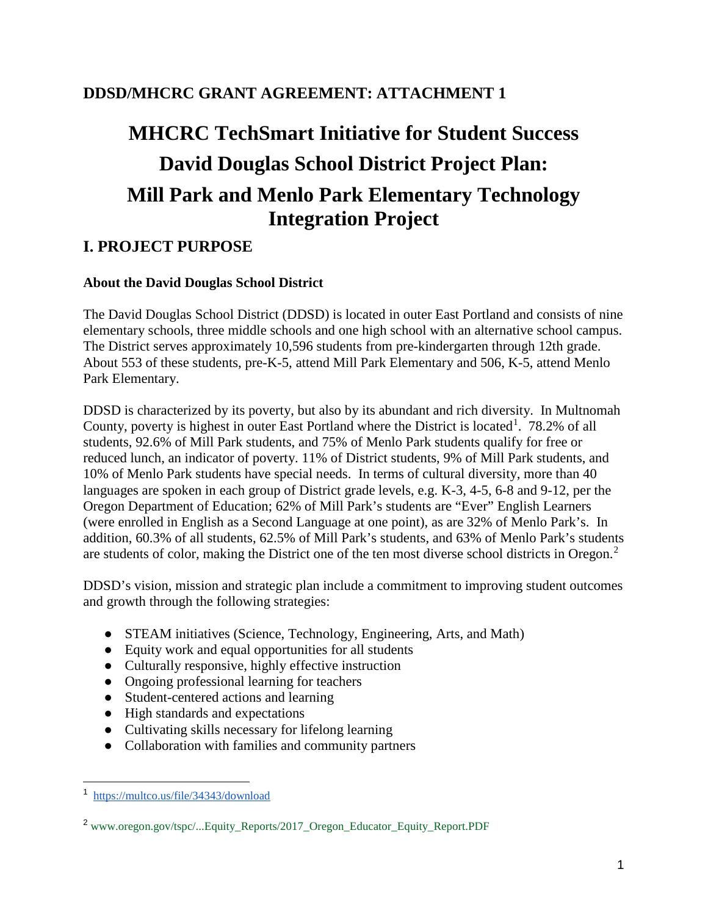# **DDSD/MHCRC GRANT AGREEMENT: ATTACHMENT 1**

# **MHCRC TechSmart Initiative for Student Success David Douglas School District Project Plan: Mill Park and Menlo Park Elementary Technology Integration Project**

# **I. PROJECT PURPOSE**

### **About the David Douglas School District**

The David Douglas School District (DDSD) is located in outer East Portland and consists of nine elementary schools, three middle schools and one high school with an alternative school campus. The District serves approximately 10,596 students from pre-kindergarten through 12th grade. About 553 of these students, pre-K-5, attend Mill Park Elementary and 506, K-5, attend Menlo Park Elementary.

DDSD is characterized by its poverty, but also by its abundant and rich diversity. In Multnomah County, poverty is highest in outer East Portland where the District is located<sup>[1](#page-0-0)</sup>. 78.2% of all students, 92.6% of Mill Park students, and 75% of Menlo Park students qualify for free or reduced lunch, an indicator of poverty. 11% of District students, 9% of Mill Park students, and 10% of Menlo Park students have special needs. In terms of cultural diversity, more than 40 languages are spoken in each group of District grade levels, e.g. K-3, 4-5, 6-8 and 9-12, per the Oregon Department of Education; 62% of Mill Park's students are "Ever" English Learners (were enrolled in English as a Second Language at one point), as are 32% of Menlo Park's. In addition, 60.3% of all students, 62.5% of Mill Park's students, and 63% of Menlo Park's students are students of color, making the District one of the ten most diverse school districts in Oregon.<sup>[2](#page-0-1)</sup>

DDSD's vision, mission and strategic plan include a commitment to improving student outcomes and growth through the following strategies:

- STEAM initiatives (Science, Technology, Engineering, Arts, and Math)
- Equity work and equal opportunities for all students
- Culturally responsive, highly effective instruction
- Ongoing professional learning for teachers
- Student-centered actions and learning
- High standards and expectations
- Cultivating skills necessary for lifelong learning
- Collaboration with families and community partners

<span id="page-0-0"></span><sup>1</sup> <https://multco.us/file/34343/download>

<span id="page-0-1"></span><sup>&</sup>lt;sup>2</sup> www.oregon.gov/tspc/...Equity\_Reports/2017\_Oregon\_Educator\_Equity\_Report.PDF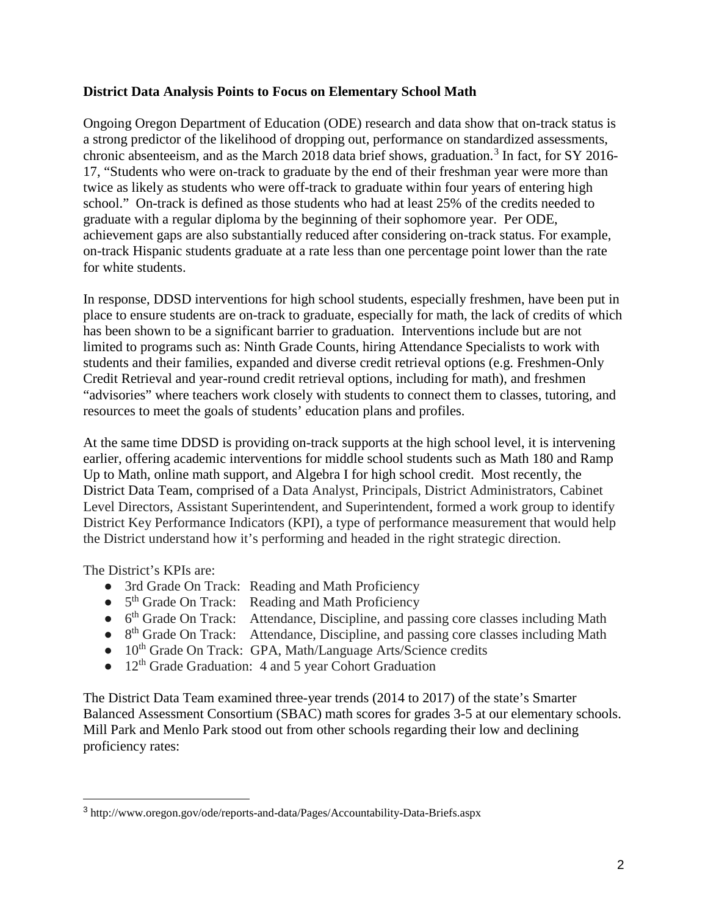#### **District Data Analysis Points to Focus on Elementary School Math**

Ongoing Oregon Department of Education (ODE) research and data show that on-track status is a strong predictor of the likelihood of dropping out, performance on standardized assessments, chronic absenteeism, and as the March 2018 data brief shows, graduation.<sup>[3](#page-1-0)</sup> In fact, for SY 2016-17, "Students who were on-track to graduate by the end of their freshman year were more than twice as likely as students who were off-track to graduate within four years of entering high school." On-track is defined as those students who had at least 25% of the credits needed to graduate with a regular diploma by the beginning of their sophomore year. Per ODE, achievement gaps are also substantially reduced after considering on-track status. For example, on-track Hispanic students graduate at a rate less than one percentage point lower than the rate for white students.

In response, DDSD interventions for high school students, especially freshmen, have been put in place to ensure students are on-track to graduate, especially for math, the lack of credits of which has been shown to be a significant barrier to graduation. Interventions include but are not limited to programs such as: Ninth Grade Counts, hiring Attendance Specialists to work with students and their families, expanded and diverse credit retrieval options (e.g. Freshmen-Only Credit Retrieval and year-round credit retrieval options, including for math), and freshmen "advisories" where teachers work closely with students to connect them to classes, tutoring, and resources to meet the goals of students' education plans and profiles.

At the same time DDSD is providing on-track supports at the high school level, it is intervening earlier, offering academic interventions for middle school students such as Math 180 and Ramp Up to Math, online math support, and Algebra I for high school credit. Most recently, the District Data Team, comprised of a Data Analyst, Principals, District Administrators, Cabinet Level Directors, Assistant Superintendent, and Superintendent, formed a work group to identify District Key Performance Indicators (KPI), a type of performance measurement that would help the District understand how it's performing and headed in the right strategic direction.

The District's KPIs are:

- 3rd Grade On Track: Reading and Math Proficiency
- $\bullet$  5<sup>th</sup> Grade On Track: Reading and Math Proficiency
- 6<sup>th</sup> Grade On Track: Attendance, Discipline, and passing core classes including Math
- 8<sup>th</sup> Grade On Track: Attendance, Discipline, and passing core classes including Math
- 10<sup>th</sup> Grade On Track: GPA, Math/Language Arts/Science credits
- $\bullet$  12<sup>th</sup> Grade Graduation: 4 and 5 year Cohort Graduation

The District Data Team examined three-year trends (2014 to 2017) of the state's Smarter Balanced Assessment Consortium (SBAC) math scores for grades 3-5 at our elementary schools. Mill Park and Menlo Park stood out from other schools regarding their low and declining proficiency rates:

<span id="page-1-0"></span><sup>3</sup> <http://www.oregon.gov/ode/reports-and-data/Pages/Accountability-Data-Briefs.aspx>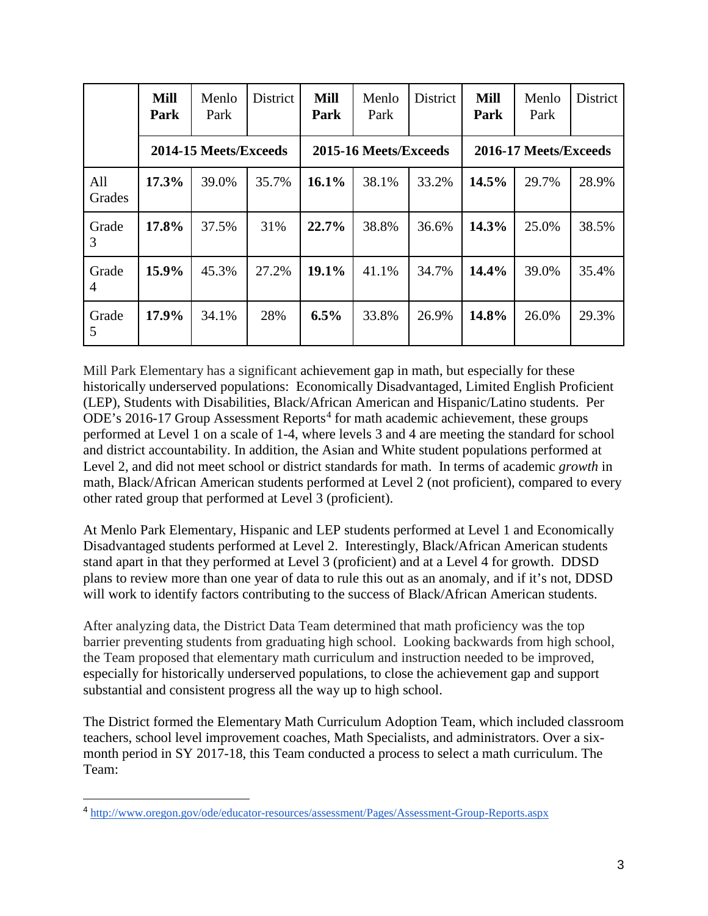|               | <b>Mill</b><br>Park | Menlo<br>Park         | District | <b>Mill</b><br>Park | Menlo<br>Park         | <b>District</b> | <b>Mill</b><br>Park   | Menlo<br>Park | District |  |  |  |  |  |  |
|---------------|---------------------|-----------------------|----------|---------------------|-----------------------|-----------------|-----------------------|---------------|----------|--|--|--|--|--|--|
|               |                     | 2014-15 Meets/Exceeds |          |                     | 2015-16 Meets/Exceeds |                 | 2016-17 Meets/Exceeds |               |          |  |  |  |  |  |  |
| All<br>Grades | 17.3%               | 39.0%                 | 35.7%    | 16.1%               | 38.1%                 | 33.2%           | 14.5%                 | 29.7%         | 28.9%    |  |  |  |  |  |  |
| Grade<br>3    | 17.8%               | 37.5%                 | 31%      | 22.7%               | 38.8%                 | 36.6%           | 14.3%                 | 25.0%         | 38.5%    |  |  |  |  |  |  |
| Grade<br>4    | 15.9%               | 45.3%                 | 27.2%    | $19.1\%$            | 41.1%                 | 34.7%           | 14.4%                 | 39.0%         | 35.4%    |  |  |  |  |  |  |
| Grade<br>5    | 17.9%               | 34.1%                 | 28%      | 6.5%                | 33.8%                 | 26.9%           | 14.8%                 | 26.0%         | 29.3%    |  |  |  |  |  |  |

Mill Park Elementary has a significant achievement gap in math, but especially for these historically underserved populations: Economically Disadvantaged, Limited English Proficient (LEP), Students with Disabilities, Black/African American and Hispanic/Latino students. Per ODE's 2016-17 Group Assessment Reports<sup>[4](#page-2-0)</sup> for math academic achievement, these groups performed at Level 1 on a scale of 1-4, where levels 3 and 4 are meeting the standard for school and district accountability. In addition, the Asian and White student populations performed at Level 2, and did not meet school or district standards for math. In terms of academic *growth* in math, Black/African American students performed at Level 2 (not proficient), compared to every other rated group that performed at Level 3 (proficient).

At Menlo Park Elementary, Hispanic and LEP students performed at Level 1 and Economically Disadvantaged students performed at Level 2. Interestingly, Black/African American students stand apart in that they performed at Level 3 (proficient) and at a Level 4 for growth. DDSD plans to review more than one year of data to rule this out as an anomaly, and if it's not, DDSD will work to identify factors contributing to the success of Black/African American students.

After analyzing data, the District Data Team determined that math proficiency was the top barrier preventing students from graduating high school. Looking backwards from high school, the Team proposed that elementary math curriculum and instruction needed to be improved, especially for historically underserved populations, to close the achievement gap and support substantial and consistent progress all the way up to high school.

The District formed the Elementary Math Curriculum Adoption Team, which included classroom teachers, school level improvement coaches, Math Specialists, and administrators. Over a sixmonth period in SY 2017-18, this Team conducted a process to select a math curriculum. The Team:

<span id="page-2-0"></span><sup>4</sup> <http://www.oregon.gov/ode/educator-resources/assessment/Pages/Assessment-Group-Reports.aspx>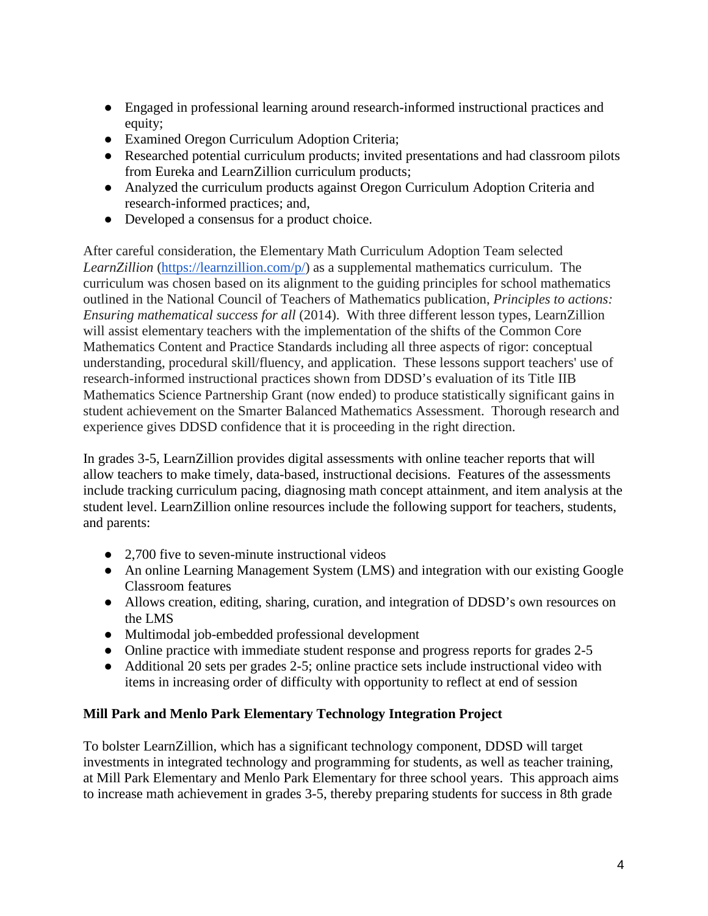- Engaged in professional learning around research-informed instructional practices and equity;
- Examined Oregon Curriculum Adoption Criteria;
- Researched potential curriculum products; invited presentations and had classroom pilots from Eureka and LearnZillion curriculum products;
- Analyzed the curriculum products against Oregon Curriculum Adoption Criteria and research-informed practices; and,
- Developed a consensus for a product choice.

After careful consideration, the Elementary Math Curriculum Adoption Team selected *LearnZillion* [\(https://learnzillion.com/p/\)](https://learnzillion.com/p/) as a supplemental mathematics curriculum. The curriculum was chosen based on its alignment to the guiding principles for school mathematics outlined in the National Council of Teachers of Mathematics publication, *Principles to actions: Ensuring mathematical success for all* (2014). With three different lesson types, LearnZillion will assist elementary teachers with the implementation of the shifts of the Common Core Mathematics Content and Practice Standards including all three aspects of rigor: conceptual understanding, procedural skill/fluency, and application. These lessons support teachers' use of research-informed instructional practices shown from DDSD's evaluation of its Title IIB Mathematics Science Partnership Grant (now ended) to produce statistically significant gains in student achievement on the Smarter Balanced Mathematics Assessment. Thorough research and experience gives DDSD confidence that it is proceeding in the right direction.

In grades 3-5, LearnZillion provides digital assessments with online teacher reports that will allow teachers to make timely, data-based, instructional decisions. Features of the assessments include tracking curriculum pacing, diagnosing math concept attainment, and item analysis at the student level. LearnZillion online resources include the following support for teachers, students, and parents:

- 2,700 five to seven-minute instructional videos
- An online Learning Management System (LMS) and integration with our existing Google Classroom features
- Allows creation, editing, sharing, curation, and integration of DDSD's own resources on the LMS
- Multimodal job-embedded professional development
- Online practice with immediate student response and progress reports for grades 2-5
- Additional 20 sets per grades 2-5; online practice sets include instructional video with items in increasing order of difficulty with opportunity to reflect at end of session

# **Mill Park and Menlo Park Elementary Technology Integration Project**

To bolster LearnZillion, which has a significant technology component, DDSD will target investments in integrated technology and programming for students, as well as teacher training, at Mill Park Elementary and Menlo Park Elementary for three school years. This approach aims to increase math achievement in grades 3-5, thereby preparing students for success in 8th grade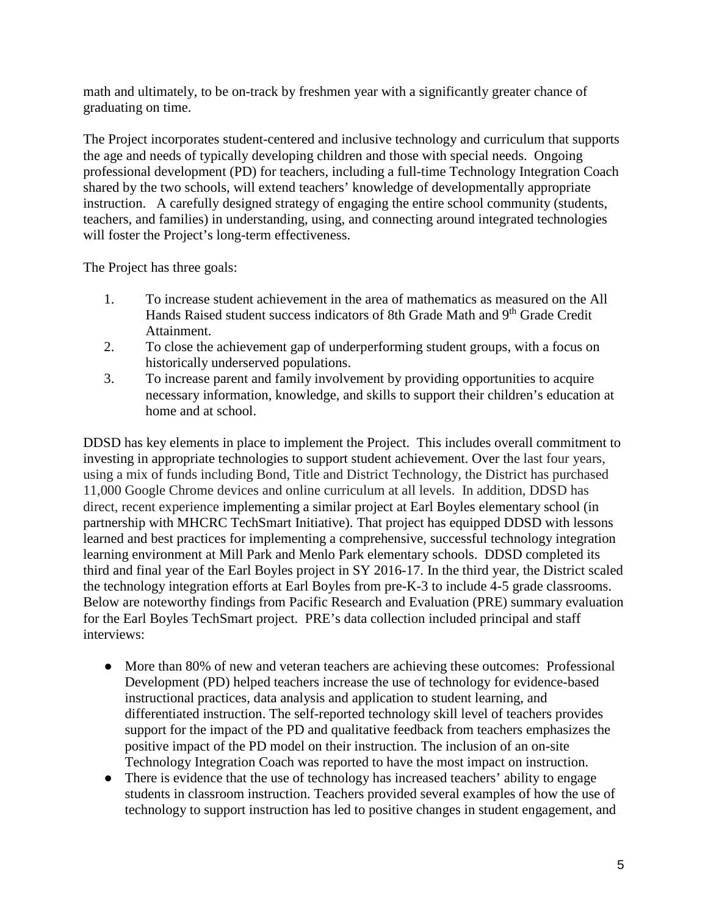math and ultimately, to be on-track by freshmen year with a significantly greater chance of graduating on time.

The Project incorporates student-centered and inclusive technology and curriculum that supports the age and needs of typically developing children and those with special needs. Ongoing professional development (PD) for teachers, including a full-time Technology Integration Coach shared by the two schools, will extend teachers' knowledge of developmentally appropriate instruction. A carefully designed strategy of engaging the entire school community (students, teachers, and families) in understanding, using, and connecting around integrated technologies will foster the Project's long-term effectiveness.

The Project has three goals:

- 1. To increase student achievement in the area of mathematics as measured on the All Hands Raised student success indicators of 8th Grade Math and 9<sup>th</sup> Grade Credit Attainment.
- 2. To close the achievement gap of underperforming student groups, with a focus on historically underserved populations.
- 3. To increase parent and family involvement by providing opportunities to acquire necessary information, knowledge, and skills to support their children's education at home and at school.

DDSD has key elements in place to implement the Project. This includes overall commitment to investing in appropriate technologies to support student achievement. Over the last four years, using a mix of funds including Bond, Title and District Technology, the District has purchased 11,000 Google Chrome devices and online curriculum at all levels. In addition, DDSD has direct, recent experience implementing a similar project at Earl Boyles elementary school (in partnership with MHCRC TechSmart Initiative). That project has equipped DDSD with lessons learned and best practices for implementing a comprehensive, successful technology integration learning environment at Mill Park and Menlo Park elementary schools. DDSD completed its third and final year of the Earl Boyles project in SY 2016-17. In the third year, the District scaled the technology integration efforts at Earl Boyles from pre-K-3 to include 4-5 grade classrooms. Below are noteworthy findings from Pacific Research and Evaluation (PRE) summary evaluation for the Earl Boyles TechSmart project. PRE's data collection included principal and staff interviews:

- More than 80% of new and veteran teachers are achieving these outcomes: Professional Development (PD) helped teachers increase the use of technology for evidence-based instructional practices, data analysis and application to student learning, and differentiated instruction. The self-reported technology skill level of teachers provides support for the impact of the PD and qualitative feedback from teachers emphasizes the positive impact of the PD model on their instruction. The inclusion of an on-site Technology Integration Coach was reported to have the most impact on instruction.
- There is evidence that the use of technology has increased teachers' ability to engage students in classroom instruction. Teachers provided several examples of how the use of technology to support instruction has led to positive changes in student engagement, and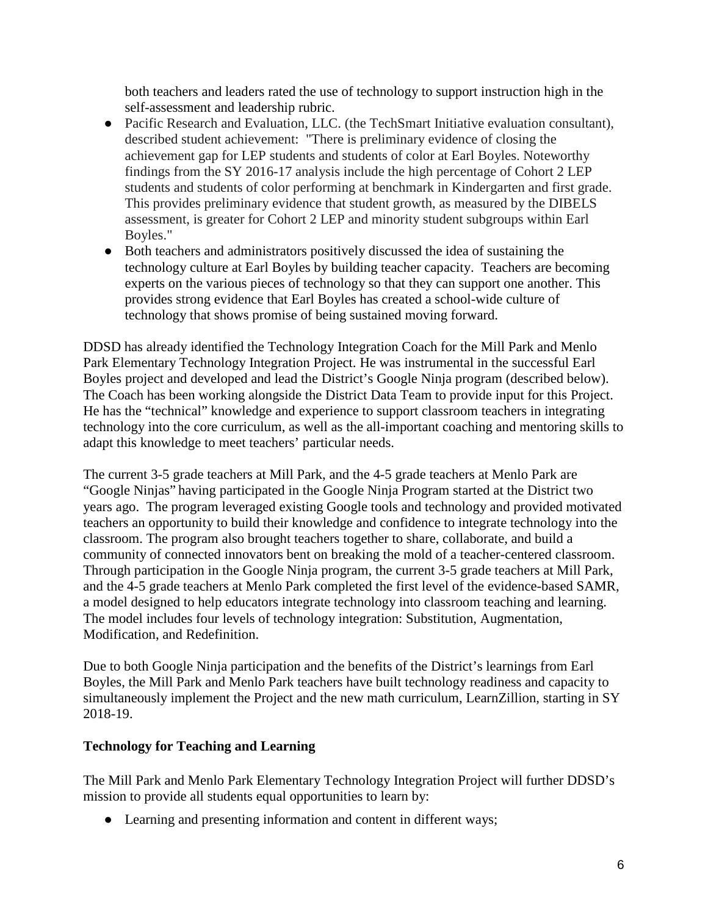both teachers and leaders rated the use of technology to support instruction high in the self-assessment and leadership rubric.

- Pacific Research and Evaluation, LLC. (the TechSmart Initiative evaluation consultant), described student achievement: "There is preliminary evidence of closing the achievement gap for LEP students and students of color at Earl Boyles. Noteworthy findings from the SY 2016-17 analysis include the high percentage of Cohort 2 LEP students and students of color performing at benchmark in Kindergarten and first grade. This provides preliminary evidence that student growth, as measured by the DIBELS assessment, is greater for Cohort 2 LEP and minority student subgroups within Earl Boyles."
- Both teachers and administrators positively discussed the idea of sustaining the technology culture at Earl Boyles by building teacher capacity. Teachers are becoming experts on the various pieces of technology so that they can support one another. This provides strong evidence that Earl Boyles has created a school-wide culture of technology that shows promise of being sustained moving forward.

DDSD has already identified the Technology Integration Coach for the Mill Park and Menlo Park Elementary Technology Integration Project. He was instrumental in the successful Earl Boyles project and developed and lead the District's Google Ninja program (described below). The Coach has been working alongside the District Data Team to provide input for this Project. He has the "technical" knowledge and experience to support classroom teachers in integrating technology into the core curriculum, as well as the all-important coaching and mentoring skills to adapt this knowledge to meet teachers' particular needs.

The current 3-5 grade teachers at Mill Park, and the 4-5 grade teachers at Menlo Park are "Google Ninjas" having participated in the Google Ninja Program started at the District two years ago. The program leveraged existing Google tools and technology and provided motivated teachers an opportunity to build their knowledge and confidence to integrate technology into the classroom. The program also brought teachers together to share, collaborate, and build a community of connected innovators bent on breaking the mold of a teacher-centered classroom. Through participation in the Google Ninja program, the current 3-5 grade teachers at Mill Park, and the 4-5 grade teachers at Menlo Park completed the first level of the evidence-based SAMR, a model designed to help educators integrate technology into classroom teaching and learning. The model includes four levels of technology integration: Substitution, Augmentation, Modification, and Redefinition.

Due to both Google Ninja participation and the benefits of the District's learnings from Earl Boyles, the Mill Park and Menlo Park teachers have built technology readiness and capacity to simultaneously implement the Project and the new math curriculum, LearnZillion, starting in SY 2018-19.

### **Technology for Teaching and Learning**

The Mill Park and Menlo Park Elementary Technology Integration Project will further DDSD's mission to provide all students equal opportunities to learn by:

• Learning and presenting information and content in different ways;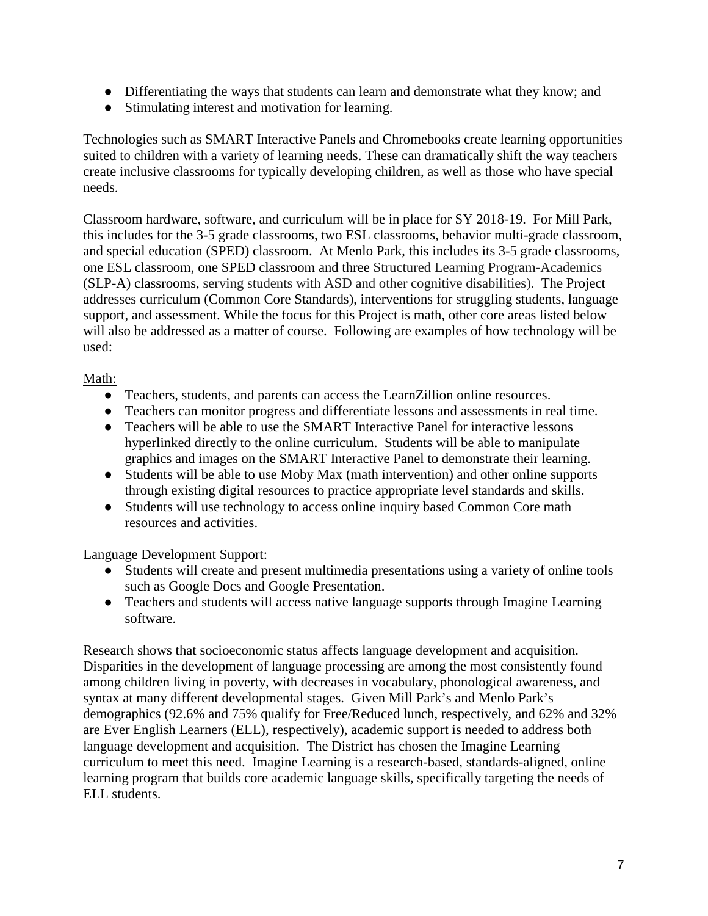- Differentiating the ways that students can learn and demonstrate what they know; and
- Stimulating interest and motivation for learning.

Technologies such as SMART Interactive Panels and Chromebooks create learning opportunities suited to children with a variety of learning needs. These can dramatically shift the way teachers create inclusive classrooms for typically developing children, as well as those who have special needs.

Classroom hardware, software, and curriculum will be in place for SY 2018-19. For Mill Park, this includes for the 3-5 grade classrooms, two ESL classrooms, behavior multi-grade classroom, and special education (SPED) classroom. At Menlo Park, this includes its 3-5 grade classrooms, one ESL classroom, one SPED classroom and three Structured Learning Program-Academics (SLP-A) classrooms, serving students with ASD and other cognitive disabilities). The Project addresses curriculum (Common Core Standards), interventions for struggling students, language support, and assessment. While the focus for this Project is math, other core areas listed below will also be addressed as a matter of course. Following are examples of how technology will be used:

## Math:

- Teachers, students, and parents can access the LearnZillion online resources.
- Teachers can monitor progress and differentiate lessons and assessments in real time.
- Teachers will be able to use the SMART Interactive Panel for interactive lessons hyperlinked directly to the online curriculum. Students will be able to manipulate graphics and images on the SMART Interactive Panel to demonstrate their learning.
- Students will be able to use Moby Max (math intervention) and other online supports through existing digital resources to practice appropriate level standards and skills.
- Students will use technology to access online inquiry based Common Core math resources and activities.

### Language Development Support:

- Students will create and present multimedia presentations using a variety of online tools such as Google Docs and Google Presentation.
- Teachers and students will access native language supports through Imagine Learning software.

Research shows that socioeconomic status affects language development and acquisition. Disparities in the development of language processing are among the most consistently found among children living in poverty, with decreases in vocabulary, phonological awareness, and syntax at many different developmental stages. Given Mill Park's and Menlo Park's demographics (92.6% and 75% qualify for Free/Reduced lunch, respectively, and 62% and 32% are Ever English Learners (ELL), respectively), academic support is needed to address both language development and acquisition. The District has chosen the Imagine Learning curriculum to meet this need. Imagine Learning is a research-based, standards-aligned, online learning program that builds core academic language skills, specifically targeting the needs of ELL students.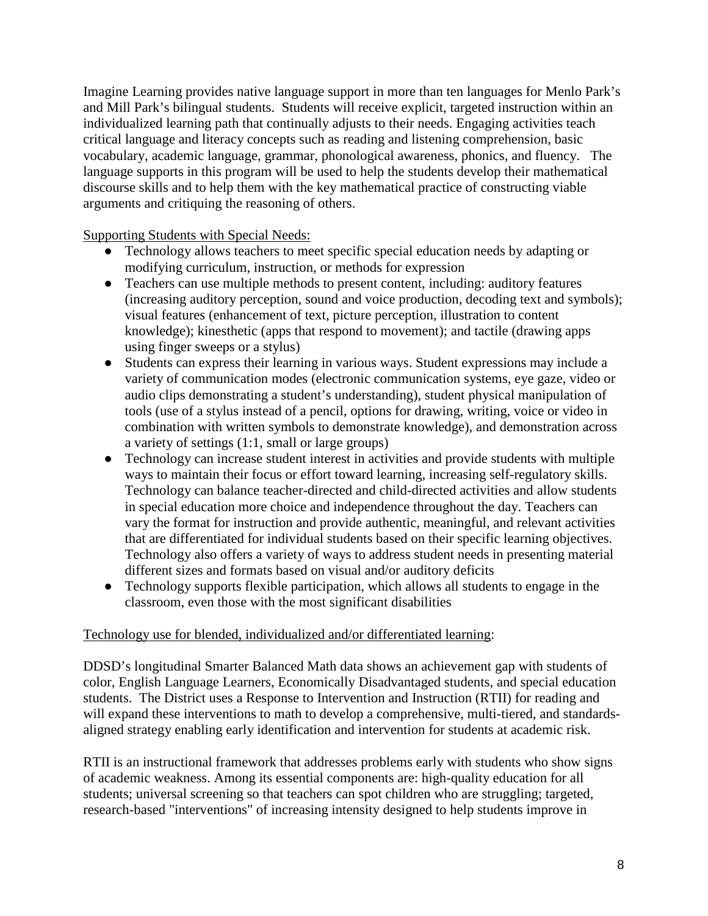Imagine Learning provides native language support in more than ten languages for Menlo Park's and Mill Park's bilingual students. Students will receive explicit, targeted instruction within an individualized learning path that continually adjusts to their needs. Engaging activities teach critical language and literacy concepts such as reading and listening comprehension, basic vocabulary, academic language, grammar, phonological awareness, phonics, and fluency. The language supports in this program will be used to help the students develop their mathematical discourse skills and to help them with the key mathematical practice of constructing viable arguments and critiquing the reasoning of others.

Supporting Students with Special Needs:

- Technology allows teachers to meet specific special education needs by adapting or modifying curriculum, instruction, or methods for expression
- Teachers can use multiple methods to present content, including: auditory features (increasing auditory perception, sound and voice production, decoding text and symbols); visual features (enhancement of text, picture perception, illustration to content knowledge); kinesthetic (apps that respond to movement); and tactile (drawing apps using finger sweeps or a stylus)
- Students can express their learning in various ways. Student expressions may include a variety of communication modes (electronic communication systems, eye gaze, video or audio clips demonstrating a student's understanding), student physical manipulation of tools (use of a stylus instead of a pencil, options for drawing, writing, voice or video in combination with written symbols to demonstrate knowledge), and demonstration across a variety of settings (1:1, small or large groups)
- Technology can increase student interest in activities and provide students with multiple ways to maintain their focus or effort toward learning, increasing self-regulatory skills. Technology can balance teacher-directed and child-directed activities and allow students in special education more choice and independence throughout the day. Teachers can vary the format for instruction and provide authentic, meaningful, and relevant activities that are differentiated for individual students based on their specific learning objectives. Technology also offers a variety of ways to address student needs in presenting material different sizes and formats based on visual and/or auditory deficits
- Technology supports flexible participation, which allows all students to engage in the classroom, even those with the most significant disabilities

### Technology use for blended, individualized and/or differentiated learning:

DDSD's longitudinal Smarter Balanced Math data shows an achievement gap with students of color, English Language Learners, Economically Disadvantaged students, and special education students. The District uses a Response to Intervention and Instruction (RTII) for reading and will expand these interventions to math to develop a comprehensive, multi-tiered, and standardsaligned strategy enabling early identification and intervention for students at academic risk.

RTII is an instructional framework that addresses problems early with students who show signs of academic weakness. Among its essential components are: high-quality education for all students; universal screening so that teachers can spot children who are struggling; targeted, research-based "interventions" of increasing intensity designed to help students improve in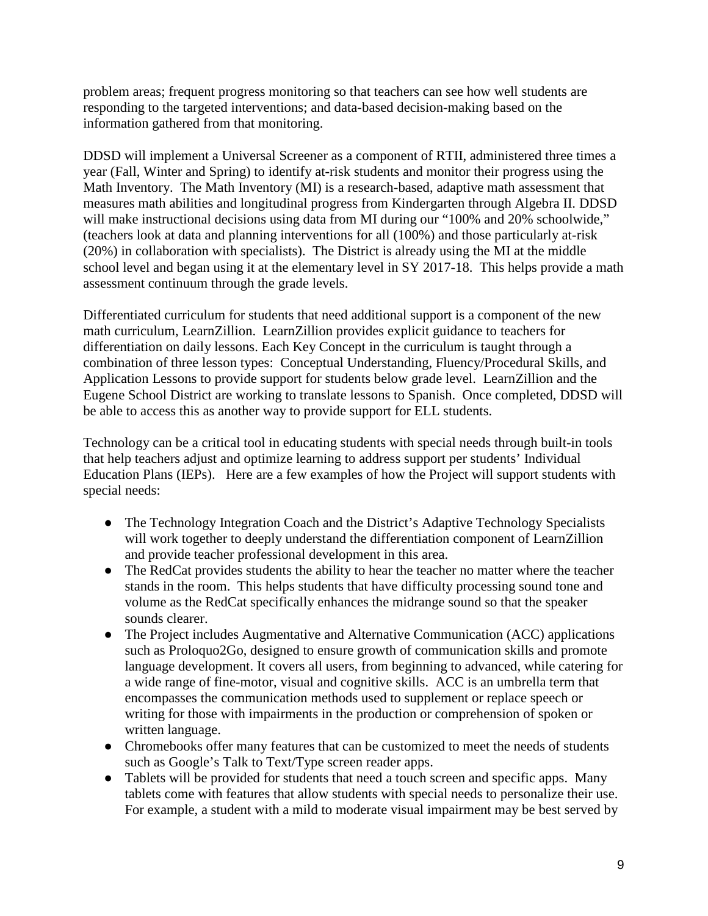problem areas; frequent progress monitoring so that teachers can see how well students are responding to the targeted interventions; and data-based decision-making based on the information gathered from that monitoring.

DDSD will implement a Universal Screener as a component of RTII, administered three times a year (Fall, Winter and Spring) to identify at-risk students and monitor their progress using the Math Inventory. The Math Inventory (MI) is a research-based, adaptive math assessment that measures math abilities and longitudinal progress from Kindergarten through Algebra II. DDSD will make instructional decisions using data from MI during our "100% and 20% schoolwide," (teachers look at data and planning interventions for all (100%) and those particularly at-risk (20%) in collaboration with specialists). The District is already using the MI at the middle school level and began using it at the elementary level in SY 2017-18. This helps provide a math assessment continuum through the grade levels.

Differentiated curriculum for students that need additional support is a component of the new math curriculum, LearnZillion. LearnZillion provides explicit guidance to teachers for differentiation on daily lessons. Each Key Concept in the curriculum is taught through a combination of three lesson types: Conceptual Understanding, Fluency/Procedural Skills, and Application Lessons to provide support for students below grade level. LearnZillion and the Eugene School District are working to translate lessons to Spanish. Once completed, DDSD will be able to access this as another way to provide support for ELL students.

Technology can be a critical tool in educating students with special needs through built-in tools that help teachers adjust and optimize learning to address support per students' Individual Education Plans (IEPs). Here are a few examples of how the Project will support students with special needs:

- The Technology Integration Coach and the District's Adaptive Technology Specialists will work together to deeply understand the differentiation component of LearnZillion and provide teacher professional development in this area.
- The RedCat provides students the ability to hear the teacher no matter where the teacher stands in the room. This helps students that have difficulty processing sound tone and volume as the RedCat specifically enhances the midrange sound so that the speaker sounds clearer.
- The Project includes Augmentative and Alternative Communication (ACC) applications such as Proloquo2Go, designed to ensure growth of communication skills and promote language development. It covers all users, from beginning to advanced, while catering for a wide range of fine-motor, visual and cognitive skills. ACC is an umbrella term that encompasses the communication methods used to supplement or replace speech or writing for those with impairments in the production or comprehension of spoken or written language.
- Chromebooks offer many features that can be customized to meet the needs of students such as Google's Talk to Text/Type screen reader apps.
- Tablets will be provided for students that need a touch screen and specific apps. Many tablets come with features that allow students with special needs to personalize their use. For example, a student with a mild to moderate visual impairment may be best served by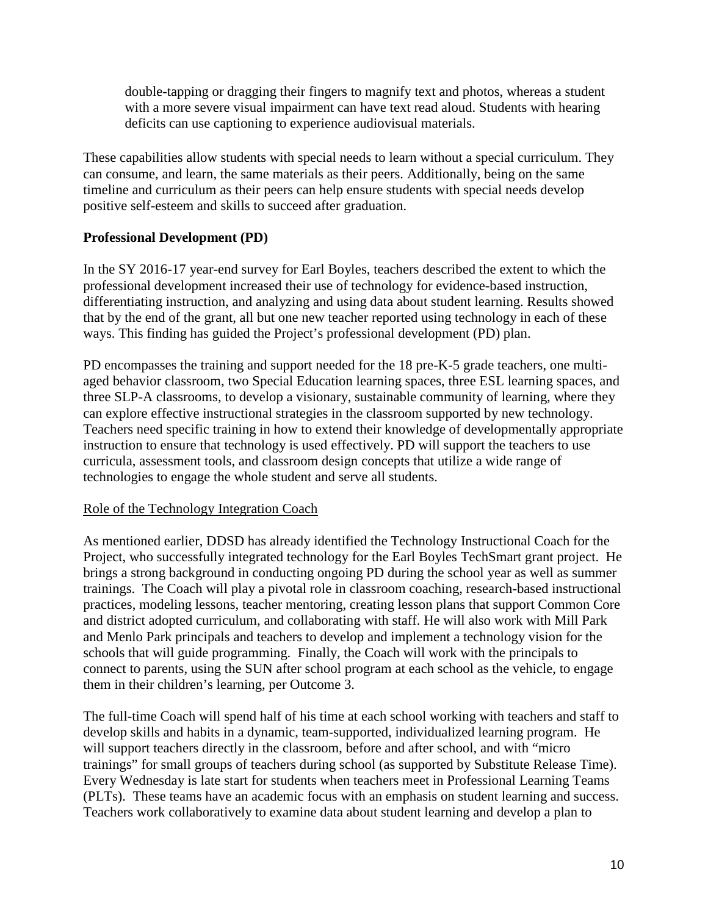double-tapping or dragging their fingers to magnify text and photos, whereas a student with a more severe visual impairment can have text read aloud. Students with hearing deficits can use captioning to experience audiovisual materials.

These capabilities allow students with special needs to learn without a special curriculum. They can consume, and learn, the same materials as their peers. Additionally, being on the same timeline and curriculum as their peers can help ensure students with special needs develop positive self-esteem and skills to succeed after graduation.

#### **Professional Development (PD)**

In the SY 2016-17 year-end survey for Earl Boyles, teachers described the extent to which the professional development increased their use of technology for evidence-based instruction, differentiating instruction, and analyzing and using data about student learning. Results showed that by the end of the grant, all but one new teacher reported using technology in each of these ways. This finding has guided the Project's professional development (PD) plan.

PD encompasses the training and support needed for the 18 pre-K-5 grade teachers, one multiaged behavior classroom, two Special Education learning spaces, three ESL learning spaces, and three SLP-A classrooms, to develop a visionary, sustainable community of learning, where they can explore effective instructional strategies in the classroom supported by new technology. Teachers need specific training in how to extend their knowledge of developmentally appropriate instruction to ensure that technology is used effectively. PD will support the teachers to use curricula, assessment tools, and classroom design concepts that utilize a wide range of technologies to engage the whole student and serve all students.

#### Role of the Technology Integration Coach

As mentioned earlier, DDSD has already identified the Technology Instructional Coach for the Project, who successfully integrated technology for the Earl Boyles TechSmart grant project. He brings a strong background in conducting ongoing PD during the school year as well as summer trainings. The Coach will play a pivotal role in classroom coaching, research-based instructional practices, modeling lessons, teacher mentoring, creating lesson plans that support Common Core and district adopted curriculum, and collaborating with staff. He will also work with Mill Park and Menlo Park principals and teachers to develop and implement a technology vision for the schools that will guide programming. Finally, the Coach will work with the principals to connect to parents, using the SUN after school program at each school as the vehicle, to engage them in their children's learning, per Outcome 3.

The full-time Coach will spend half of his time at each school working with teachers and staff to develop skills and habits in a dynamic, team-supported, individualized learning program. He will support teachers directly in the classroom, before and after school, and with "micro" trainings" for small groups of teachers during school (as supported by Substitute Release Time). Every Wednesday is late start for students when teachers meet in Professional Learning Teams (PLTs). These teams have an academic focus with an emphasis on student learning and success. Teachers work collaboratively to examine data about student learning and develop a plan to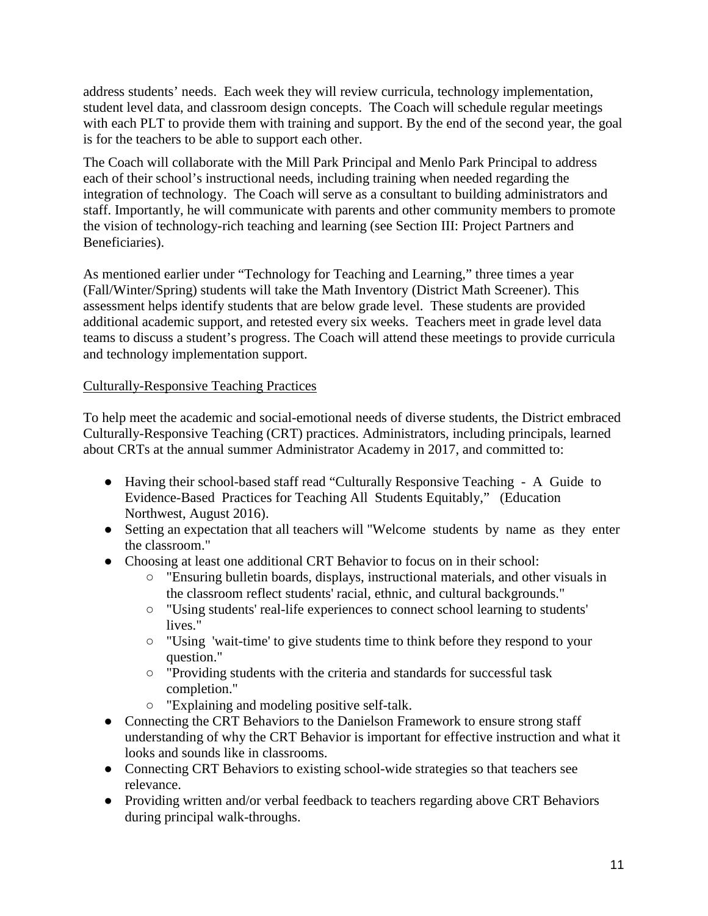address students' needs. Each week they will review curricula, technology implementation, student level data, and classroom design concepts. The Coach will schedule regular meetings with each PLT to provide them with training and support. By the end of the second year, the goal is for the teachers to be able to support each other.

The Coach will collaborate with the Mill Park Principal and Menlo Park Principal to address each of their school's instructional needs, including training when needed regarding the integration of technology. The Coach will serve as a consultant to building administrators and staff. Importantly, he will communicate with parents and other community members to promote the vision of technology-rich teaching and learning (see Section III: Project Partners and Beneficiaries).

As mentioned earlier under "Technology for Teaching and Learning," three times a year (Fall/Winter/Spring) students will take the Math Inventory (District Math Screener). This assessment helps identify students that are below grade level. These students are provided additional academic support, and retested every six weeks. Teachers meet in grade level data teams to discuss a student's progress. The Coach will attend these meetings to provide curricula and technology implementation support.

## Culturally-Responsive Teaching Practices

To help meet the academic and social-emotional needs of diverse students, the District embraced Culturally-Responsive Teaching (CRT) practices. Administrators, including principals, learned about CRTs at the annual summer Administrator Academy in 2017, and committed to:

- Having their school-based staff read "Culturally Responsive Teaching A Guide to Evidence-Based Practices for Teaching All Students Equitably," (Education Northwest, August 2016).
- Setting an expectation that all teachers will "Welcome students by name as they enter the classroom."
- Choosing at least one additional CRT Behavior to focus on in their school:
	- "Ensuring bulletin boards, displays, instructional materials, and other visuals in the classroom reflect students' racial, ethnic, and cultural backgrounds."
	- "Using students' real-life experiences to connect school learning to students' lives."
	- "Using 'wait-time' to give students time to think before they respond to your question."
	- "Providing students with the criteria and standards for successful task completion."
	- "Explaining and modeling positive self-talk.
- Connecting the CRT Behaviors to the Danielson Framework to ensure strong staff understanding of why the CRT Behavior is important for effective instruction and what it looks and sounds like in classrooms.
- Connecting CRT Behaviors to existing school-wide strategies so that teachers see relevance.
- Providing written and/or verbal feedback to teachers regarding above CRT Behaviors during principal walk-throughs.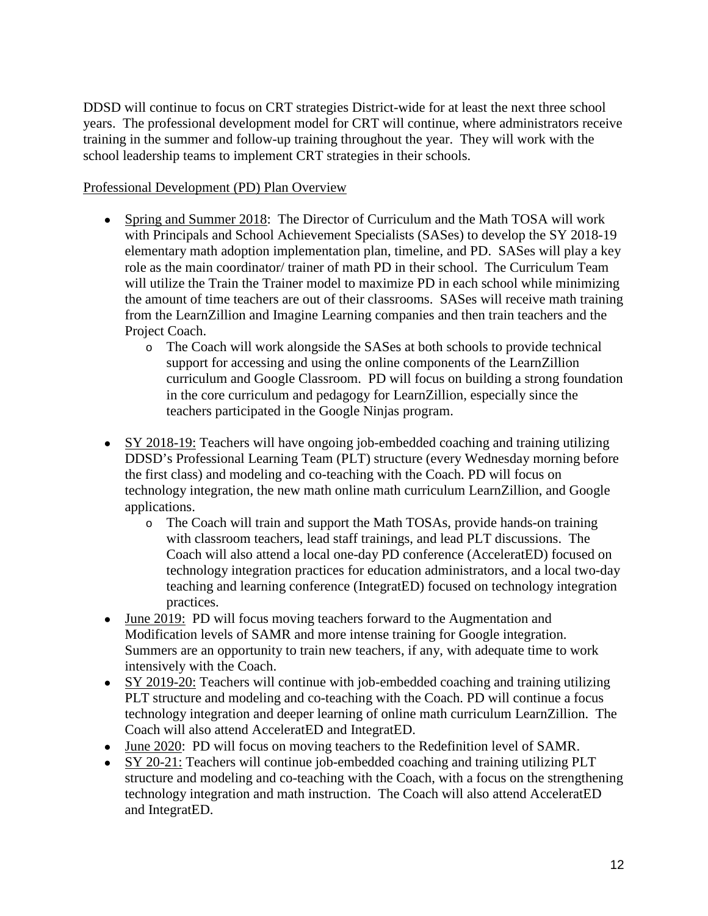DDSD will continue to focus on CRT strategies District-wide for at least the next three school years. The professional development model for CRT will continue, where administrators receive training in the summer and follow-up training throughout the year. They will work with the school leadership teams to implement CRT strategies in their schools.

## Professional Development (PD) Plan Overview

- Spring and Summer 2018: The Director of Curriculum and the Math TOSA will work with Principals and School Achievement Specialists (SASes) to develop the SY 2018-19 elementary math adoption implementation plan, timeline, and PD. SASes will play a key role as the main coordinator/ trainer of math PD in their school. The Curriculum Team will utilize the Train the Trainer model to maximize PD in each school while minimizing the amount of time teachers are out of their classrooms. SASes will receive math training from the LearnZillion and Imagine Learning companies and then train teachers and the Project Coach.
	- o The Coach will work alongside the SASes at both schools to provide technical support for accessing and using the online components of the LearnZillion curriculum and Google Classroom. PD will focus on building a strong foundation in the core curriculum and pedagogy for LearnZillion, especially since the teachers participated in the Google Ninjas program.
- SY 2018-19: Teachers will have ongoing job-embedded coaching and training utilizing DDSD's Professional Learning Team (PLT) structure (every Wednesday morning before the first class) and modeling and co-teaching with the Coach. PD will focus on technology integration, the new math online math curriculum LearnZillion, and Google applications.
	- o The Coach will train and support the Math TOSAs, provide hands-on training with classroom teachers, lead staff trainings, and lead PLT discussions. The Coach will also attend a local one-day PD conference (AcceleratED) focused on technology integration practices for education administrators, and a local two-day teaching and learning conference (IntegratED) focused on technology integration practices.
- June 2019: PD will focus moving teachers forward to the Augmentation and Modification levels of SAMR and more intense training for Google integration. Summers are an opportunity to train new teachers, if any, with adequate time to work intensively with the Coach.
- SY 2019-20: Teachers will continue with job-embedded coaching and training utilizing PLT structure and modeling and co-teaching with the Coach. PD will continue a focus technology integration and deeper learning of online math curriculum LearnZillion. The Coach will also attend AcceleratED and IntegratED.
- June 2020: PD will focus on moving teachers to the Redefinition level of SAMR.
- SY 20-21: Teachers will continue job-embedded coaching and training utilizing PLT structure and modeling and co-teaching with the Coach, with a focus on the strengthening technology integration and math instruction. The Coach will also attend AcceleratED and IntegratED.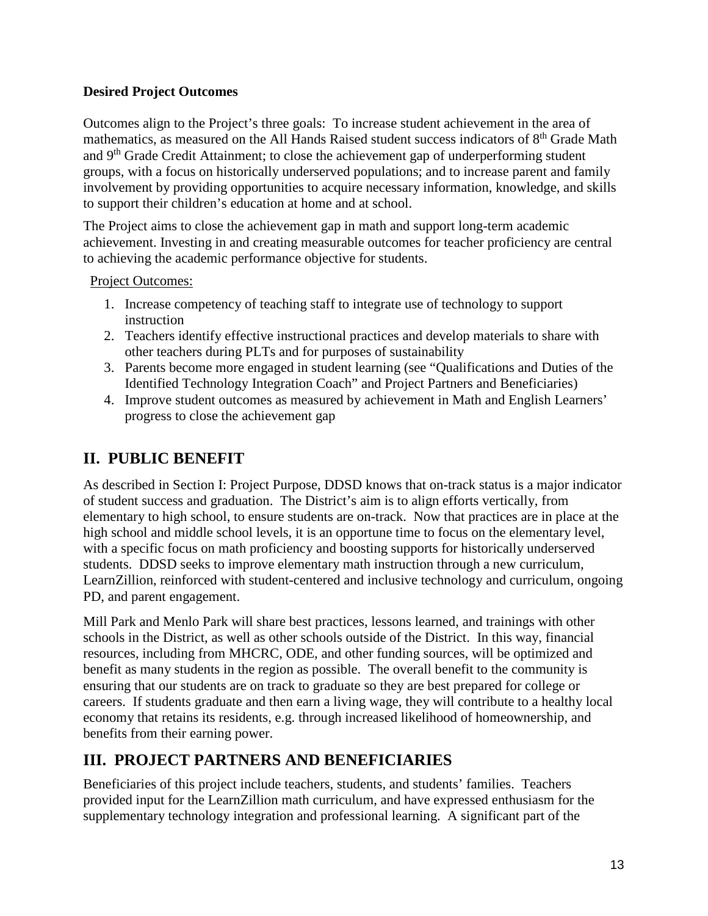## **Desired Project Outcomes**

Outcomes align to the Project's three goals: To increase student achievement in the area of mathematics, as measured on the All Hands Raised student success indicators of 8<sup>th</sup> Grade Math and 9<sup>th</sup> Grade Credit Attainment; to close the achievement gap of underperforming student groups, with a focus on historically underserved populations; and to increase parent and family involvement by providing opportunities to acquire necessary information, knowledge, and skills to support their children's education at home and at school.

The Project aims to close the achievement gap in math and support long-term academic achievement. Investing in and creating measurable outcomes for teacher proficiency are central to achieving the academic performance objective for students.

## Project Outcomes:

- 1. Increase competency of teaching staff to integrate use of technology to support instruction
- 2. Teachers identify effective instructional practices and develop materials to share with other teachers during PLTs and for purposes of sustainability
- 3. Parents become more engaged in student learning (see "Qualifications and Duties of the Identified Technology Integration Coach" and Project Partners and Beneficiaries)
- 4. Improve student outcomes as measured by achievement in Math and English Learners' progress to close the achievement gap

# **II. PUBLIC BENEFIT**

As described in Section I: Project Purpose, DDSD knows that on-track status is a major indicator of student success and graduation. The District's aim is to align efforts vertically, from elementary to high school, to ensure students are on-track. Now that practices are in place at the high school and middle school levels, it is an opportune time to focus on the elementary level, with a specific focus on math proficiency and boosting supports for historically underserved students. DDSD seeks to improve elementary math instruction through a new curriculum, LearnZillion, reinforced with student-centered and inclusive technology and curriculum, ongoing PD, and parent engagement.

Mill Park and Menlo Park will share best practices, lessons learned, and trainings with other schools in the District, as well as other schools outside of the District. In this way, financial resources, including from MHCRC, ODE, and other funding sources, will be optimized and benefit as many students in the region as possible. The overall benefit to the community is ensuring that our students are on track to graduate so they are best prepared for college or careers. If students graduate and then earn a living wage, they will contribute to a healthy local economy that retains its residents, e.g. through increased likelihood of homeownership, and benefits from their earning power.

# **III. PROJECT PARTNERS AND BENEFICIARIES**

Beneficiaries of this project include teachers, students, and students' families. Teachers provided input for the LearnZillion math curriculum, and have expressed enthusiasm for the supplementary technology integration and professional learning. A significant part of the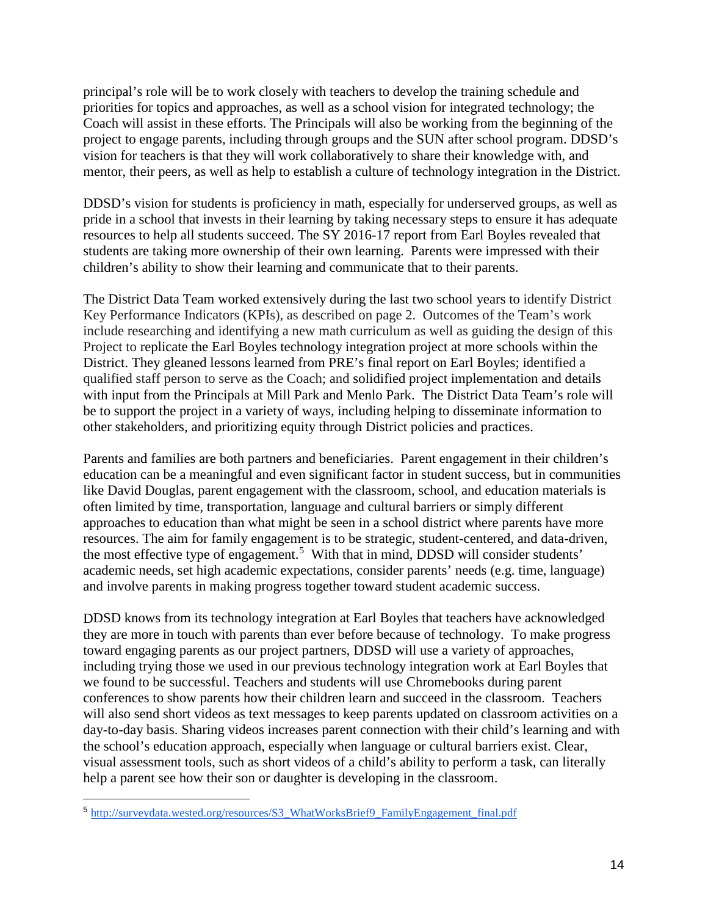principal's role will be to work closely with teachers to develop the training schedule and priorities for topics and approaches, as well as a school vision for integrated technology; the Coach will assist in these efforts. The Principals will also be working from the beginning of the project to engage parents, including through groups and the SUN after school program. DDSD's vision for teachers is that they will work collaboratively to share their knowledge with, and mentor, their peers, as well as help to establish a culture of technology integration in the District.

DDSD's vision for students is proficiency in math, especially for underserved groups, as well as pride in a school that invests in their learning by taking necessary steps to ensure it has adequate resources to help all students succeed. The SY 2016-17 report from Earl Boyles revealed that students are taking more ownership of their own learning. Parents were impressed with their children's ability to show their learning and communicate that to their parents.

The District Data Team worked extensively during the last two school years to identify District Key Performance Indicators (KPIs), as described on page 2. Outcomes of the Team's work include researching and identifying a new math curriculum as well as guiding the design of this Project to replicate the Earl Boyles technology integration project at more schools within the District. They gleaned lessons learned from PRE's final report on Earl Boyles; identified a qualified staff person to serve as the Coach; and solidified project implementation and details with input from the Principals at Mill Park and Menlo Park. The District Data Team's role will be to support the project in a variety of ways, including helping to disseminate information to other stakeholders, and prioritizing equity through District policies and practices.

Parents and families are both partners and beneficiaries. Parent engagement in their children's education can be a meaningful and even significant factor in student success, but in communities like David Douglas, parent engagement with the classroom, school, and education materials is often limited by time, transportation, language and cultural barriers or simply different approaches to education than what might be seen in a school district where parents have more resources. The aim for family engagement is to be strategic, student-centered, and data-driven, the most effective type of engagement.<sup>[5](#page-13-0)</sup> With that in mind, DDSD will consider students' academic needs, set high academic expectations, consider parents' needs (e.g. time, language) and involve parents in making progress together toward student academic success.

DDSD knows from its technology integration at Earl Boyles that teachers have acknowledged they are more in touch with parents than ever before because of technology. To make progress toward engaging parents as our project partners, DDSD will use a variety of approaches, including trying those we used in our previous technology integration work at Earl Boyles that we found to be successful. Teachers and students will use Chromebooks during parent conferences to show parents how their children learn and succeed in the classroom. Teachers will also send short videos as text messages to keep parents updated on classroom activities on a day-to-day basis. Sharing videos increases parent connection with their child's learning and with the school's education approach, especially when language or cultural barriers exist. Clear, visual assessment tools, such as short videos of a child's ability to perform a task, can literally help a parent see how their son or daughter is developing in the classroom.

<span id="page-13-0"></span><sup>5</sup> [http://surveydata.wested.org/resources/S3\\_WhatWorksBrief9\\_FamilyEngagement\\_final.pdf](http://surveydata.wested.org/resources/S3_WhatWorksBrief9_FamilyEngagement_final.pdf)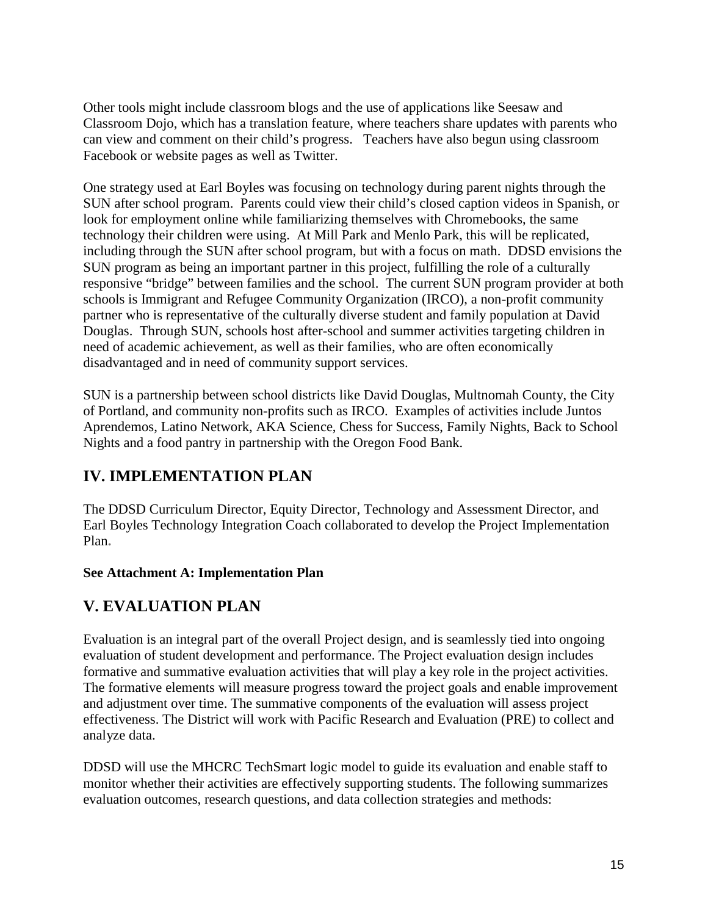Other tools might include classroom blogs and the use of applications like Seesaw and Classroom Dojo, which has a translation feature, where teachers share updates with parents who can view and comment on their child's progress. Teachers have also begun using classroom Facebook or website pages as well as Twitter.

One strategy used at Earl Boyles was focusing on technology during parent nights through the SUN after school program. Parents could view their child's closed caption videos in Spanish, or look for employment online while familiarizing themselves with Chromebooks, the same technology their children were using. At Mill Park and Menlo Park, this will be replicated, including through the SUN after school program, but with a focus on math. DDSD envisions the SUN program as being an important partner in this project, fulfilling the role of a culturally responsive "bridge" between families and the school. The current SUN program provider at both schools is Immigrant and Refugee Community Organization (IRCO), a non-profit community partner who is representative of the culturally diverse student and family population at David Douglas. Through SUN, schools host after-school and summer activities targeting children in need of academic achievement, as well as their families, who are often economically disadvantaged and in need of community support services.

SUN is a partnership between school districts like David Douglas, Multnomah County, the City of Portland, and community non-profits such as IRCO. Examples of activities include Juntos Aprendemos, Latino Network, AKA Science, Chess for Success, Family Nights, Back to School Nights and a food pantry in partnership with the Oregon Food Bank.

# **IV. IMPLEMENTATION PLAN**

The DDSD Curriculum Director, Equity Director, Technology and Assessment Director, and Earl Boyles Technology Integration Coach collaborated to develop the Project Implementation Plan**.** 

# **See Attachment A: Implementation Plan**

# **V. EVALUATION PLAN**

Evaluation is an integral part of the overall Project design, and is seamlessly tied into ongoing evaluation of student development and performance. The Project evaluation design includes formative and summative evaluation activities that will play a key role in the project activities. The formative elements will measure progress toward the project goals and enable improvement and adjustment over time. The summative components of the evaluation will assess project effectiveness. The District will work with Pacific Research and Evaluation (PRE) to collect and analyze data.

DDSD will use the MHCRC TechSmart logic model to guide its evaluation and enable staff to monitor whether their activities are effectively supporting students. The following summarizes evaluation outcomes, research questions, and data collection strategies and methods: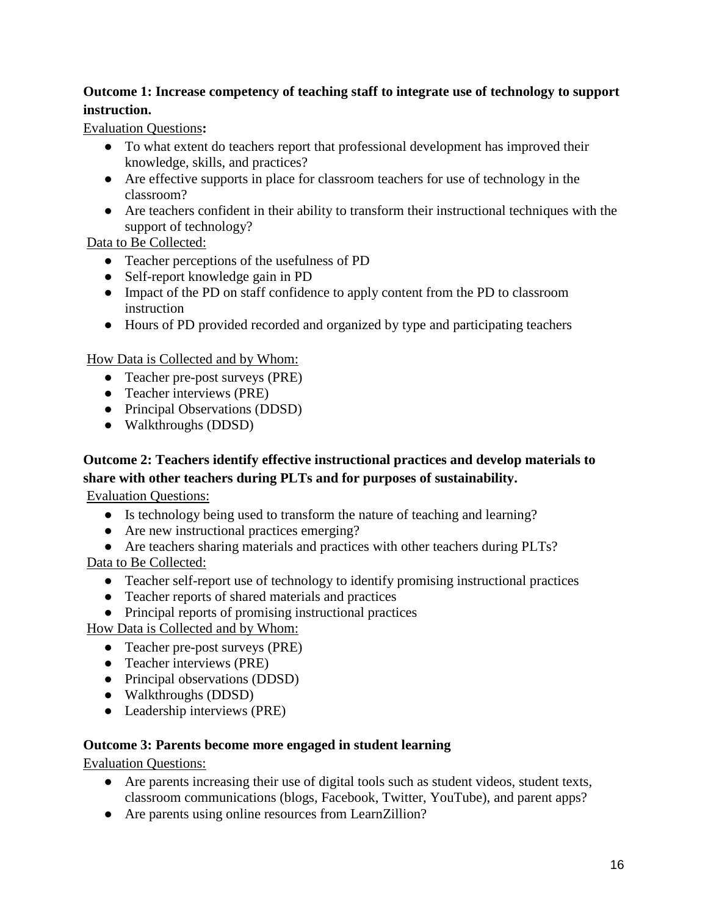# **Outcome 1: Increase competency of teaching staff to integrate use of technology to support instruction.**

Evaluation Questions**:**

- To what extent do teachers report that professional development has improved their knowledge, skills, and practices?
- Are effective supports in place for classroom teachers for use of technology in the classroom?
- Are teachers confident in their ability to transform their instructional techniques with the support of technology?

Data to Be Collected:

- Teacher perceptions of the usefulness of PD
- Self-report knowledge gain in PD
- Impact of the PD on staff confidence to apply content from the PD to classroom instruction
- Hours of PD provided recorded and organized by type and participating teachers

How Data is Collected and by Whom:

- Teacher pre-post surveys (PRE)
- Teacher interviews (PRE)
- Principal Observations (DDSD)
- Walkthroughs (DDSD)

# **Outcome 2: Teachers identify effective instructional practices and develop materials to share with other teachers during PLTs and for purposes of sustainability.**

Evaluation Questions:

- Is technology being used to transform the nature of teaching and learning?
- Are new instructional practices emerging?
- Are teachers sharing materials and practices with other teachers during PLTs?

Data to Be Collected:

- Teacher self-report use of technology to identify promising instructional practices
- Teacher reports of shared materials and practices
- Principal reports of promising instructional practices

How Data is Collected and by Whom:

- Teacher pre-post surveys (PRE)
- Teacher interviews (PRE)
- Principal observations (DDSD)
- Walkthroughs (DDSD)
- Leadership interviews (PRE)

# **Outcome 3: Parents become more engaged in student learning**

Evaluation Questions:

- Are parents increasing their use of digital tools such as student videos, student texts, classroom communications (blogs, Facebook, Twitter, YouTube), and parent apps?
- Are parents using online resources from LearnZillion?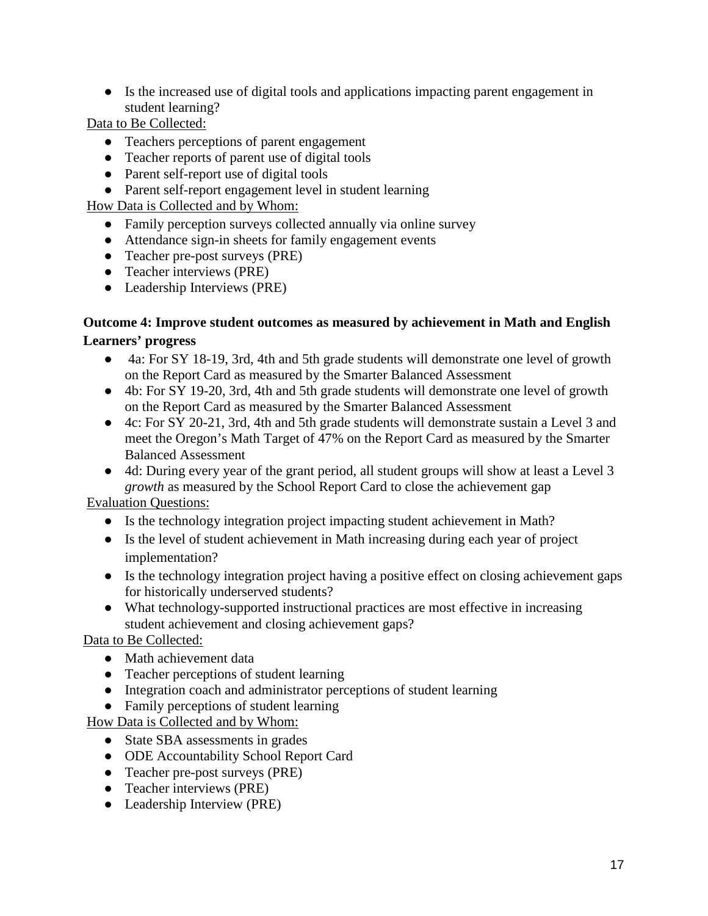● Is the increased use of digital tools and applications impacting parent engagement in student learning?

Data to Be Collected:

- Teachers perceptions of parent engagement
- Teacher reports of parent use of digital tools
- Parent self-report use of digital tools
- Parent self-report engagement level in student learning

How Data is Collected and by Whom:

- Family perception surveys collected annually via online survey
- Attendance sign-in sheets for family engagement events
- Teacher pre-post surveys (PRE)
- Teacher interviews (PRE)
- Leadership Interviews (PRE)

## **Outcome 4: Improve student outcomes as measured by achievement in Math and English Learners' progress**

- 4a: For SY 18-19, 3rd, 4th and 5th grade students will demonstrate one level of growth on the Report Card as measured by the Smarter Balanced Assessment
- 4b: For SY 19-20, 3rd, 4th and 5th grade students will demonstrate one level of growth on the Report Card as measured by the Smarter Balanced Assessment
- 4c: For SY 20-21, 3rd, 4th and 5th grade students will demonstrate sustain a Level 3 and meet the Oregon's Math Target of 47% on the Report Card as measured by the Smarter Balanced Assessment
- 4d: During every year of the grant period, all student groups will show at least a Level 3 *growth* as measured by the School Report Card to close the achievement gap

Evaluation Questions:

- Is the technology integration project impacting student achievement in Math?
- Is the level of student achievement in Math increasing during each year of project implementation?
- Is the technology integration project having a positive effect on closing achievement gaps for historically underserved students?
- What technology-supported instructional practices are most effective in increasing student achievement and closing achievement gaps?

Data to Be Collected:

- Math achievement data
- Teacher perceptions of student learning
- Integration coach and administrator perceptions of student learning
- Family perceptions of student learning

How Data is Collected and by Whom:

- State SBA assessments in grades
- ODE Accountability School Report Card
- Teacher pre-post surveys (PRE)
- Teacher interviews (PRE)
- Leadership Interview (PRE)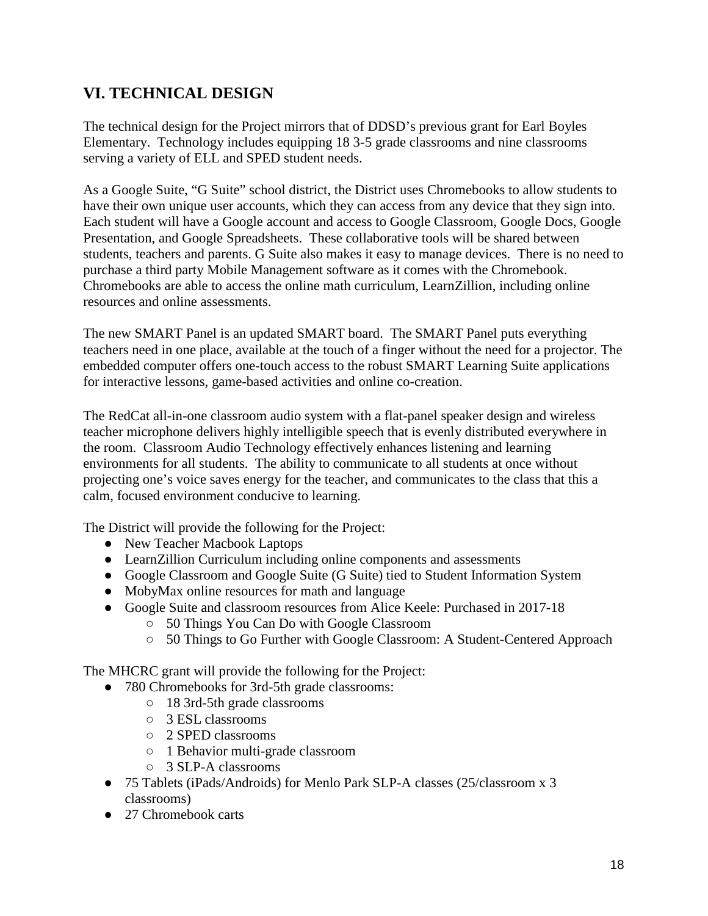# **VI. TECHNICAL DESIGN**

The technical design for the Project mirrors that of DDSD's previous grant for Earl Boyles Elementary. Technology includes equipping 18 3-5 grade classrooms and nine classrooms serving a variety of ELL and SPED student needs.

As a Google Suite, "G Suite" school district, the District uses Chromebooks to allow students to have their own unique user accounts, which they can access from any device that they sign into. Each student will have a Google account and access to Google Classroom, Google Docs, Google Presentation, and Google Spreadsheets. These collaborative tools will be shared between students, teachers and parents. G Suite also makes it easy to manage devices. There is no need to purchase a third party Mobile Management software as it comes with the Chromebook. Chromebooks are able to access the online math curriculum, LearnZillion, including online resources and online assessments.

The new SMART Panel is an updated SMART board. The SMART Panel puts everything teachers need in one place, available at the touch of a finger without the need for a projector. The embedded computer offers one-touch access to the robust SMART Learning Suite applications for interactive lessons, game-based activities and online co-creation.

The RedCat all-in-one classroom audio system with a flat-panel speaker design and wireless teacher microphone delivers highly intelligible speech that is evenly distributed everywhere in the room. Classroom Audio Technology effectively enhances listening and learning environments for all students. The ability to communicate to all students at once without projecting one's voice saves energy for the teacher, and communicates to the class that this a calm, focused environment conducive to learning.

The District will provide the following for the Project:

- New Teacher Macbook Laptops
- LearnZillion Curriculum including online components and assessments
- Google Classroom and Google Suite (G Suite) tied to Student Information System
- MobyMax online resources for math and language
- Google Suite and classroom resources from Alice Keele: Purchased in 2017-18
	- 50 Things You Can Do with Google Classroom
	- 50 Things to Go Further with Google Classroom: A Student-Centered Approach

The MHCRC grant will provide the following for the Project:

- 780 Chromebooks for 3rd-5th grade classrooms:
	- 18 3rd-5th grade classrooms
		- 3 ESL classrooms
		- 2 SPED classrooms
		- 1 Behavior multi-grade classroom
		- 3 SLP-A classrooms
- 75 Tablets (iPads/Androids) for Menlo Park SLP-A classes (25/classroom x 3 classrooms)
- 27 Chromebook carts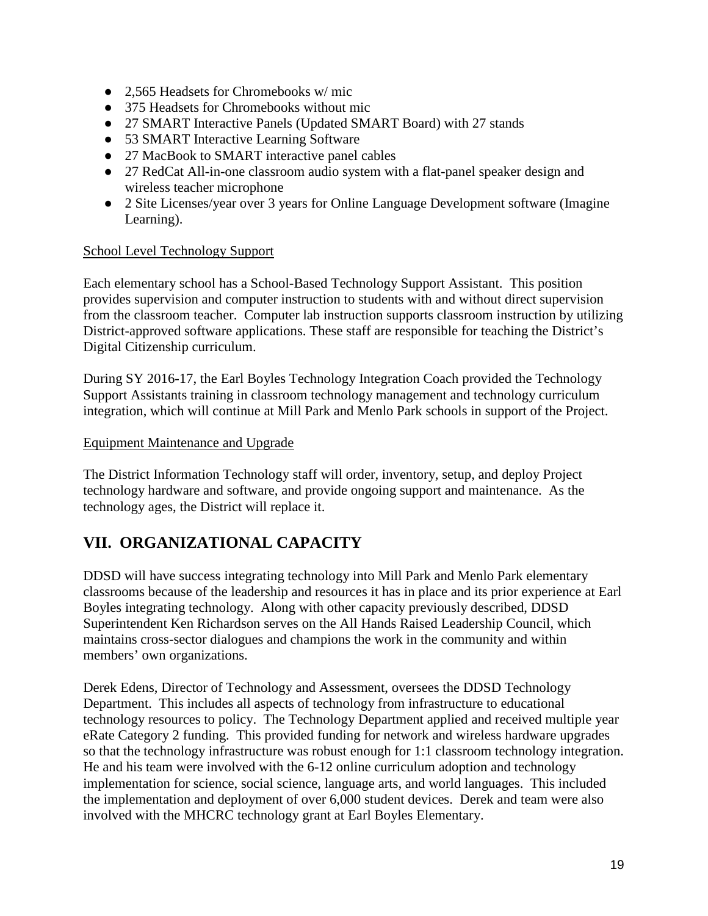- 2.565 Headsets for Chromebooks w/ mic
- 375 Headsets for Chromebooks without mic
- 27 SMART Interactive Panels (Updated SMART Board) with 27 stands
- 53 SMART Interactive Learning Software
- 27 MacBook to SMART interactive panel cables
- 27 RedCat All-in-one classroom audio system with a flat-panel speaker design and wireless teacher microphone
- 2 Site Licenses/year over 3 years for Online Language Development software (Imagine Learning).

### School Level Technology Support

Each elementary school has a School-Based Technology Support Assistant. This position provides supervision and computer instruction to students with and without direct supervision from the classroom teacher. Computer lab instruction supports classroom instruction by utilizing District-approved software applications. These staff are responsible for teaching the District's Digital Citizenship curriculum.

During SY 2016-17, the Earl Boyles Technology Integration Coach provided the Technology Support Assistants training in classroom technology management and technology curriculum integration, which will continue at Mill Park and Menlo Park schools in support of the Project.

### Equipment Maintenance and Upgrade

The District Information Technology staff will order, inventory, setup, and deploy Project technology hardware and software, and provide ongoing support and maintenance. As the technology ages, the District will replace it.

# **VII. ORGANIZATIONAL CAPACITY**

DDSD will have success integrating technology into Mill Park and Menlo Park elementary classrooms because of the leadership and resources it has in place and its prior experience at Earl Boyles integrating technology. Along with other capacity previously described, DDSD Superintendent Ken Richardson serves on the All Hands Raised Leadership Council, which maintains cross-sector dialogues and champions the work in the community and within members' own organizations.

Derek Edens, Director of Technology and Assessment, oversees the DDSD Technology Department. This includes all aspects of technology from infrastructure to educational technology resources to policy. The Technology Department applied and received multiple year eRate Category 2 funding. This provided funding for network and wireless hardware upgrades so that the technology infrastructure was robust enough for 1:1 classroom technology integration. He and his team were involved with the 6-12 online curriculum adoption and technology implementation for science, social science, language arts, and world languages. This included the implementation and deployment of over 6,000 student devices. Derek and team were also involved with the MHCRC technology grant at Earl Boyles Elementary.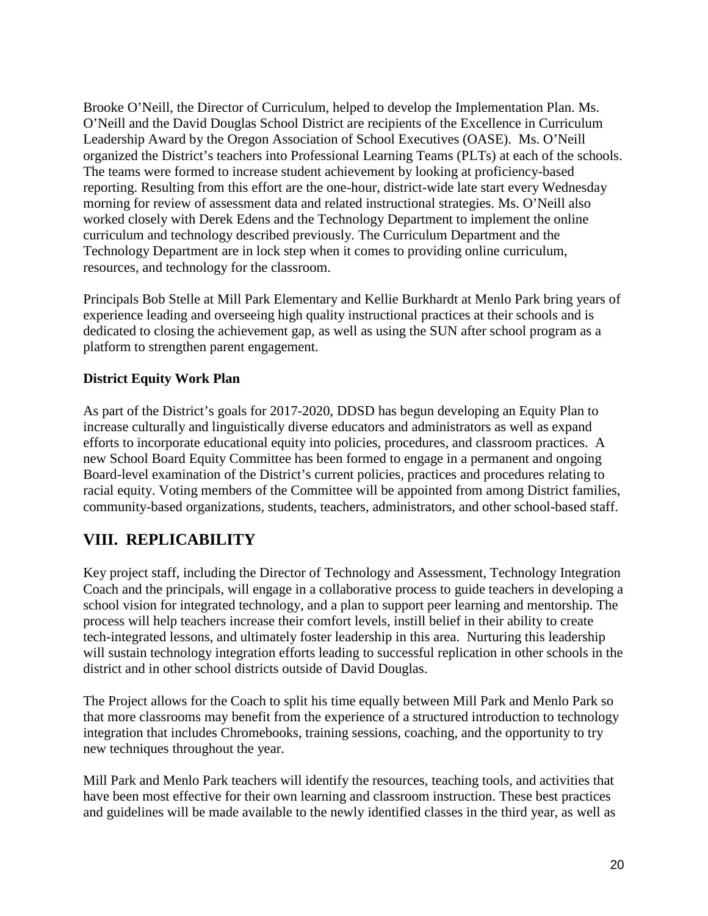Brooke O'Neill, the Director of Curriculum, helped to develop the Implementation Plan. Ms. O'Neill and the David Douglas School District are recipients of the Excellence in Curriculum Leadership Award by the Oregon Association of School Executives (OASE). Ms. O'Neill organized the District's teachers into Professional Learning Teams (PLTs) at each of the schools. The teams were formed to increase student achievement by looking at proficiency-based reporting. Resulting from this effort are the one-hour, district-wide late start every Wednesday morning for review of assessment data and related instructional strategies. Ms. O'Neill also worked closely with Derek Edens and the Technology Department to implement the online curriculum and technology described previously. The Curriculum Department and the Technology Department are in lock step when it comes to providing online curriculum, resources, and technology for the classroom.

Principals Bob Stelle at Mill Park Elementary and Kellie Burkhardt at Menlo Park bring years of experience leading and overseeing high quality instructional practices at their schools and is dedicated to closing the achievement gap, as well as using the SUN after school program as a platform to strengthen parent engagement.

## **District Equity Work Plan**

As part of the District's goals for 2017-2020, DDSD has begun developing an Equity Plan to increase culturally and linguistically diverse educators and administrators as well as expand efforts to incorporate educational equity into policies, procedures, and classroom practices. A new School Board Equity Committee has been formed to engage in a permanent and ongoing Board-level examination of the District's current policies, practices and procedures relating to racial equity. Voting members of the Committee will be appointed from among District families, community-based organizations, students, teachers, administrators, and other school-based staff.

# **VIII. REPLICABILITY**

Key project staff, including the Director of Technology and Assessment, Technology Integration Coach and the principals, will engage in a collaborative process to guide teachers in developing a school vision for integrated technology, and a plan to support peer learning and mentorship. The process will help teachers increase their comfort levels, instill belief in their ability to create tech-integrated lessons, and ultimately foster leadership in this area. Nurturing this leadership will sustain technology integration efforts leading to successful replication in other schools in the district and in other school districts outside of David Douglas.

The Project allows for the Coach to split his time equally between Mill Park and Menlo Park so that more classrooms may benefit from the experience of a structured introduction to technology integration that includes Chromebooks, training sessions, coaching, and the opportunity to try new techniques throughout the year.

Mill Park and Menlo Park teachers will identify the resources, teaching tools, and activities that have been most effective for their own learning and classroom instruction. These best practices and guidelines will be made available to the newly identified classes in the third year, as well as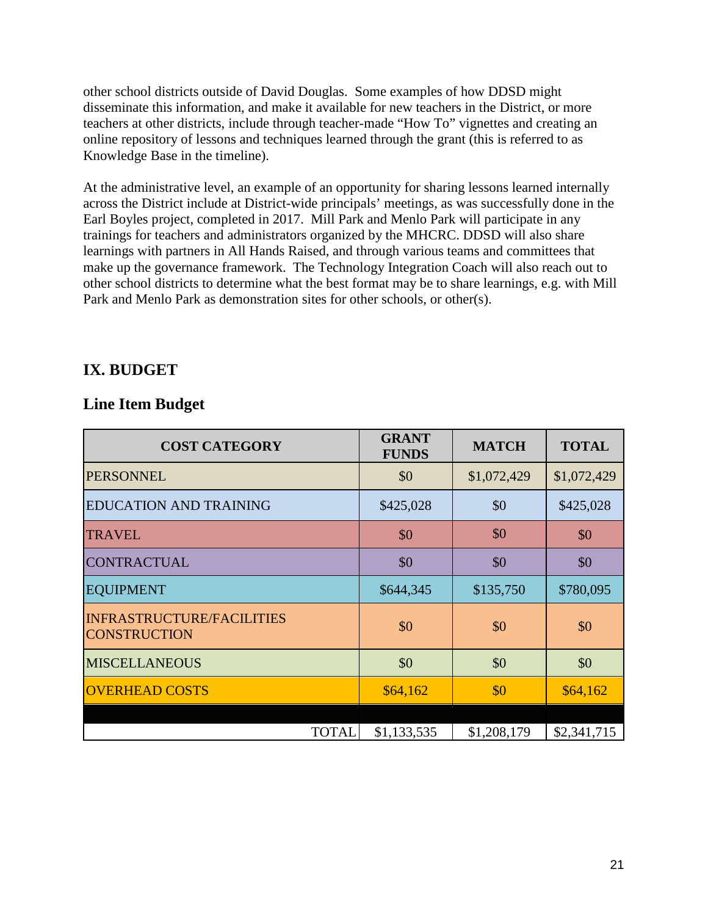other school districts outside of David Douglas. Some examples of how DDSD might disseminate this information, and make it available for new teachers in the District, or more teachers at other districts, include through teacher-made "How To" vignettes and creating an online repository of lessons and techniques learned through the grant (this is referred to as Knowledge Base in the timeline).

At the administrative level, an example of an opportunity for sharing lessons learned internally across the District include at District-wide principals' meetings, as was successfully done in the Earl Boyles project, completed in 2017. Mill Park and Menlo Park will participate in any trainings for teachers and administrators organized by the MHCRC. DDSD will also share learnings with partners in All Hands Raised, and through various teams and committees that make up the governance framework. The Technology Integration Coach will also reach out to other school districts to determine what the best format may be to share learnings, e.g. with Mill Park and Menlo Park as demonstration sites for other schools, or other(s).

# **IX. BUDGET**

# **Line Item Budget**

| <b>COST CATEGORY</b>                                    | <b>GRANT</b><br><b>FUNDS</b> | <b>MATCH</b> | <b>TOTAL</b> |  |  |  |  |
|---------------------------------------------------------|------------------------------|--------------|--------------|--|--|--|--|
| <b>PERSONNEL</b>                                        | \$0                          | \$1,072,429  | \$1,072,429  |  |  |  |  |
| <b>EDUCATION AND TRAINING</b>                           | \$425,028                    | \$0          | \$425,028    |  |  |  |  |
| <b>TRAVEL</b>                                           | \$0                          | \$0          | \$0          |  |  |  |  |
| <b>CONTRACTUAL</b>                                      | \$0                          | \$0          | \$0          |  |  |  |  |
| <b>EQUIPMENT</b>                                        | \$644,345                    | \$135,750    | \$780,095    |  |  |  |  |
| <b>INFRASTRUCTURE/FACILITIES</b><br><b>CONSTRUCTION</b> | \$0                          | \$0          | \$0          |  |  |  |  |
| <b>MISCELLANEOUS</b>                                    | \$0                          | \$0          | \$0          |  |  |  |  |
| <b>OVERHEAD COSTS</b>                                   | \$64,162                     | \$0          | \$64,162     |  |  |  |  |
|                                                         |                              |              |              |  |  |  |  |
| <b>TOTAL</b>                                            | \$1,133,535                  | \$1,208,179  | \$2,341,715  |  |  |  |  |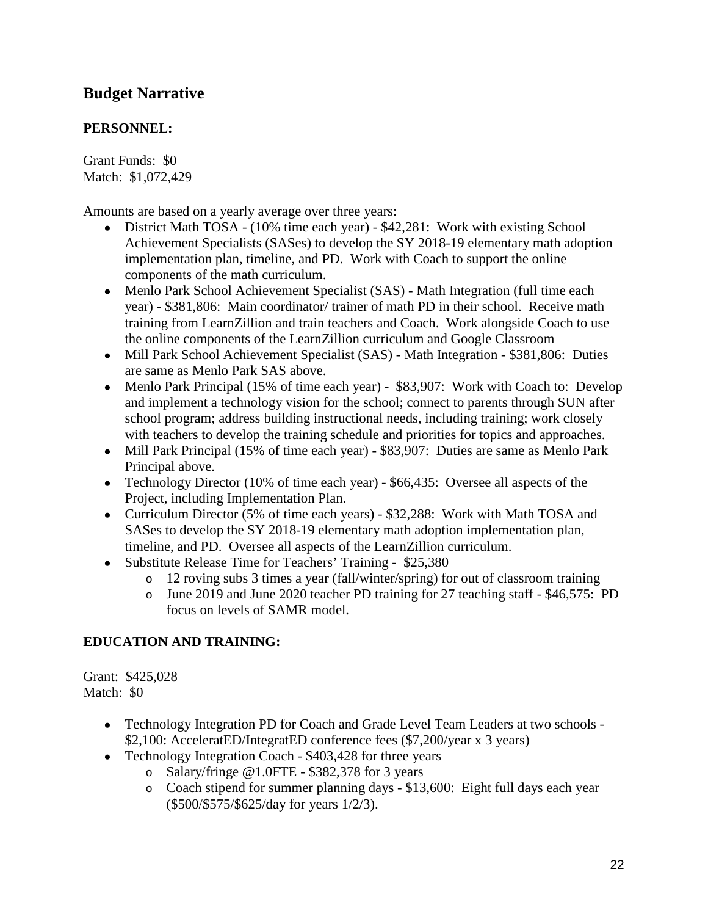# **Budget Narrative**

## **PERSONNEL:**

Grant Funds: \$0 Match: \$1,072,429

Amounts are based on a yearly average over three years:

- District Math TOSA (10% time each year) \$42,281: Work with existing School Achievement Specialists (SASes) to develop the SY 2018-19 elementary math adoption implementation plan, timeline, and PD. Work with Coach to support the online components of the math curriculum.
- Menlo Park School Achievement Specialist (SAS) Math Integration (full time each year) - \$381,806: Main coordinator/ trainer of math PD in their school. Receive math training from LearnZillion and train teachers and Coach. Work alongside Coach to use the online components of the LearnZillion curriculum and Google Classroom
- Mill Park School Achievement Specialist (SAS) Math Integration \$381,806: Duties are same as Menlo Park SAS above.
- Menlo Park Principal (15% of time each year) \$83,907: Work with Coach to: Develop and implement a technology vision for the school; connect to parents through SUN after school program; address building instructional needs, including training; work closely with teachers to develop the training schedule and priorities for topics and approaches.
- Mill Park Principal (15% of time each year) \$83,907: Duties are same as Menlo Park Principal above.
- Technology Director (10% of time each year) \$66,435: Oversee all aspects of the Project, including Implementation Plan.
- Curriculum Director (5% of time each years) \$32,288: Work with Math TOSA and SASes to develop the SY 2018-19 elementary math adoption implementation plan, timeline, and PD. Oversee all aspects of the LearnZillion curriculum.
- Substitute Release Time for Teachers' Training \$25,380
	- o 12 roving subs 3 times a year (fall/winter/spring) for out of classroom training
	- o June 2019 and June 2020 teacher PD training for 27 teaching staff \$46,575: PD focus on levels of SAMR model.

### **EDUCATION AND TRAINING:**

Grant: \$425,028 Match: \$0

- Technology Integration PD for Coach and Grade Level Team Leaders at two schools -\$2,100: AcceleratED/IntegratED conference fees (\$7,200/year x 3 years)
- Technology Integration Coach \$403,428 for three years
	- o Salary/fringe @1.0FTE \$382,378 for 3 years
	- o Coach stipend for summer planning days \$13,600: Eight full days each year (\$500/\$575/\$625/day for years 1/2/3).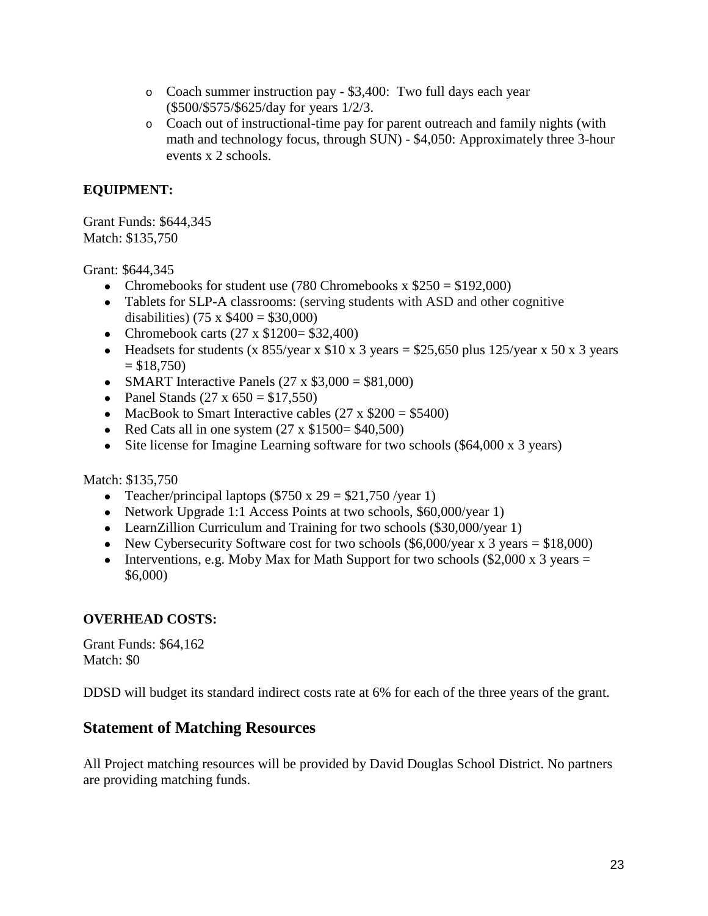- o Coach summer instruction pay \$3,400: Two full days each year (\$500/\$575/\$625/day for years 1/2/3.
- o Coach out of instructional-time pay for parent outreach and family nights (with math and technology focus, through SUN) - \$4,050: Approximately three 3-hour events x 2 schools.

# **EQUIPMENT:**

Grant Funds: \$644,345 Match: \$135,750

Grant: \$644,345

- Chromebooks for student use (780 Chromebooks x  $$250 = $192,000$ )
- Tablets for SLP-A classrooms: (serving students with ASD and other cognitive disabilities) (75 x  $$400 = $30,000$ )
- Chromebook carts  $(27 \times $1200 = $32,400)$
- Headsets for students (x 855/year x  $$10 \times 3$  years = \$25,650 plus 125/year x 50 x 3 years  $= $18,750$
- SMART Interactive Panels  $(27 \times $3,000 = $81,000)$
- Panel Stands  $(27 \times 650 = $17,550)$
- MacBook to Smart Interactive cables  $(27 \times $200 = $5400)$
- Red Cats all in one system  $(27 \times $1500 = $40,500)$
- Site license for Imagine Learning software for two schools (\$64,000 x 3 years)

Match: \$135,750

- Teacher/principal laptops  $(\$750 x 29 = \$21,750$ /year 1)
- Network Upgrade 1:1 Access Points at two schools, \$60,000/year 1)
- LearnZillion Curriculum and Training for two schools (\$30,000/year 1)
- New Cybersecurity Software cost for two schools  $(\$6,000/year \times 3 years = \$18,000)$
- Interventions, e.g. Moby Max for Math Support for two schools  $(\$2,000 \times 3 \text{ years} =$ \$6,000)

### **OVERHEAD COSTS:**

Grant Funds: \$64,162 Match: \$0

DDSD will budget its standard indirect costs rate at 6% for each of the three years of the grant.

# **Statement of Matching Resources**

All Project matching resources will be provided by David Douglas School District. No partners are providing matching funds.